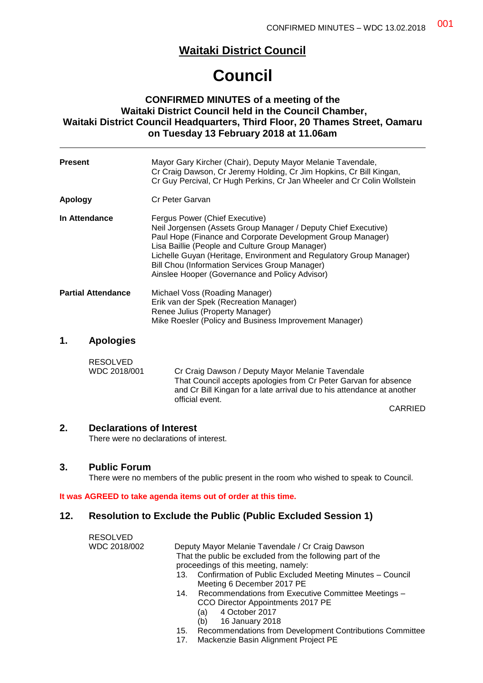## **Waitaki District Council**

# **Council**

## **CONFIRMED MINUTES of a meeting of the Waitaki District Council held in the Council Chamber, Waitaki District Council Headquarters, Third Floor, 20 Thames Street, Oamaru on Tuesday 13 February 2018 at 11.06am**

| <b>Present</b> |                           | Mayor Gary Kircher (Chair), Deputy Mayor Melanie Tavendale,<br>Cr Craig Dawson, Cr Jeremy Holding, Cr Jim Hopkins, Cr Bill Kingan,<br>Cr Guy Percival, Cr Hugh Perkins, Cr Jan Wheeler and Cr Colin Wollstein                                                                                                                                                                                 |
|----------------|---------------------------|-----------------------------------------------------------------------------------------------------------------------------------------------------------------------------------------------------------------------------------------------------------------------------------------------------------------------------------------------------------------------------------------------|
| Apology        |                           | Cr Peter Garvan                                                                                                                                                                                                                                                                                                                                                                               |
| In Attendance  |                           | Fergus Power (Chief Executive)<br>Neil Jorgensen (Assets Group Manager / Deputy Chief Executive)<br>Paul Hope (Finance and Corporate Development Group Manager)<br>Lisa Baillie (People and Culture Group Manager)<br>Lichelle Guyan (Heritage, Environment and Regulatory Group Manager)<br>Bill Chou (Information Services Group Manager)<br>Ainslee Hooper (Governance and Policy Advisor) |
|                | <b>Partial Attendance</b> | Michael Voss (Roading Manager)<br>Erik van der Spek (Recreation Manager)<br>Renee Julius (Property Manager)<br>Mike Roesler (Policy and Business Improvement Manager)                                                                                                                                                                                                                         |
| 1.             | <b>Apologies</b>          |                                                                                                                                                                                                                                                                                                                                                                                               |
|                | <b>RESOLVED</b>           |                                                                                                                                                                                                                                                                                                                                                                                               |

WDC 2018/001 Cr Craig Dawson / Deputy Mayor Melanie Tavendale That Council accepts apologies from Cr Peter Garvan for absence and Cr Bill Kingan for a late arrival due to his attendance at another official event.

CARRIED

#### **2. Declarations of Interest**

There were no declarations of interest.

#### **3. Public Forum**

There were no members of the public present in the room who wished to speak to Council.

#### **It was AGREED to take agenda items out of order at this time.**

## **12. Resolution to Exclude the Public (Public Excluded Session 1)**

| <b>RESOLVED</b> |                                                                  |
|-----------------|------------------------------------------------------------------|
| WDC 2018/002    | Deputy Mayor Melanie Tavendale / Cr Craig Dawson                 |
|                 | That the public be excluded from the following part of the       |
|                 | proceedings of this meeting, namely:                             |
|                 | Confirmation of Public Excluded Meeting Minutes - Council<br>13. |
|                 | Meeting 6 December 2017 PE                                       |
|                 | Recommendations from Executive Committee Meetings -<br>14.       |
|                 | CCO Director Appointments 2017 PE                                |
|                 | 4 October 2017<br>(a)                                            |
|                 | 16 January 2018<br>(b)                                           |

- 15. Recommendations from Development Contributions Committee
- 17. Mackenzie Basin Alignment Project PE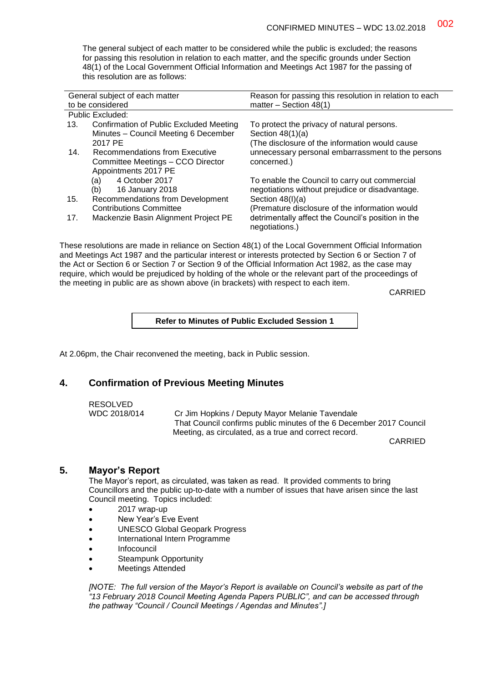The general subject of each matter to be considered while the public is excluded; the reasons for passing this resolution in relation to each matter, and the specific grounds under Section 48(1) of the Local Government Official Information and Meetings Act 1987 for the passing of this resolution are as follows:

| General subject of each matter<br>to be considered |                                                                                             | Reason for passing this resolution in relation to each<br>matter $-$ Section 48(1)               |
|----------------------------------------------------|---------------------------------------------------------------------------------------------|--------------------------------------------------------------------------------------------------|
| Public Excluded:                                   |                                                                                             |                                                                                                  |
| 13.                                                | Confirmation of Public Excluded Meeting<br>Minutes - Council Meeting 6 December             | To protect the privacy of natural persons.<br>Section $48(1)(a)$                                 |
|                                                    | 2017 PE                                                                                     | (The disclosure of the information would cause                                                   |
| 14.                                                | Recommendations from Executive<br>Committee Meetings - CCO Director<br>Appointments 2017 PE | unnecessary personal embarrassment to the persons<br>concerned.)                                 |
|                                                    | 4 October 2017<br>(a)<br>(b)<br>16 January 2018                                             | To enable the Council to carry out commercial<br>negotiations without prejudice or disadvantage. |
| 15.                                                | Recommendations from Development<br><b>Contributions Committee</b>                          | Section $48(l)(a)$<br>(Premature disclosure of the information would                             |
| 17.                                                | Mackenzie Basin Alignment Project PE                                                        | detrimentally affect the Council's position in the<br>negotiations.)                             |

These resolutions are made in reliance on Section 48(1) of the Local Government Official Information and Meetings Act 1987 and the particular interest or interests protected by Section 6 or Section 7 of the Act or Section 6 or Section 7 or Section 9 of the Official Information Act 1982, as the case may require, which would be prejudiced by holding of the whole or the relevant part of the proceedings of the meeting in public are as shown above (in brackets) with respect to each item.

CARRIED

#### **Refer to Minutes of Public Excluded Session 1**

At 2.06pm, the Chair reconvened the meeting, back in Public session.

## **4. Confirmation of Previous Meeting Minutes**

RESOLVED

WDC 2018/014 Cr Jim Hopkins / Deputy Mayor Melanie Tavendale That Council confirms public minutes of the 6 December 2017 Council Meeting, as circulated, as a true and correct record.

CARRIED

#### **5. Mayor's Report**

The Mayor's report, as circulated, was taken as read. It provided comments to bring Councillors and the public up-to-date with a number of issues that have arisen since the last Council meeting. Topics included:

- 2017 wrap-up
- New Year's Eve Event
- UNESCO Global Geopark Progress
- International Intern Programme
- Infocouncil
- Steampunk Opportunity
- Meetings Attended

*[NOTE: The full version of the Mayor's Report is available on Council's website as part of the "13 February 2018 Council Meeting Agenda Papers PUBLIC", and can be accessed through the pathway "Council / Council Meetings / Agendas and Minutes".]*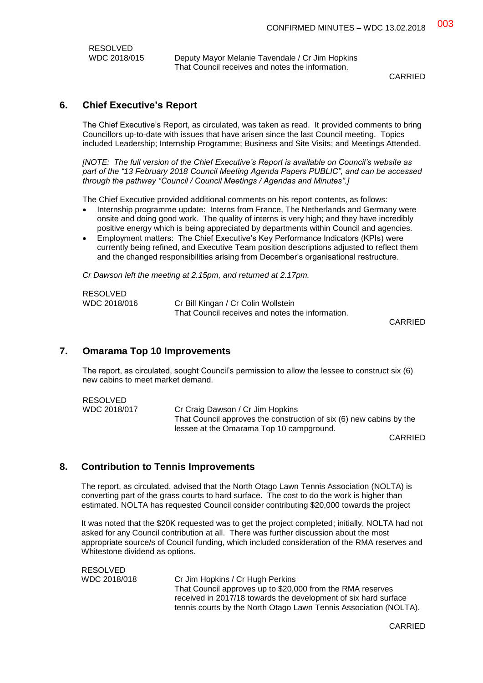| RESOLVED     |
|--------------|
| WDC 2018/015 |

Deputy Mayor Melanie Tavendale / Cr Jim Hopkins That Council receives and notes the information.

**CARRIED** 

## **6. Chief Executive's Report**

The Chief Executive's Report, as circulated, was taken as read. It provided comments to bring Councillors up-to-date with issues that have arisen since the last Council meeting. Topics included Leadership; Internship Programme; Business and Site Visits; and Meetings Attended.

*[NOTE: The full version of the Chief Executive's Report is available on Council's website as part of the "13 February 2018 Council Meeting Agenda Papers PUBLIC", and can be accessed through the pathway "Council / Council Meetings / Agendas and Minutes".]*

The Chief Executive provided additional comments on his report contents, as follows:

- Internship programme update: Interns from France, The Netherlands and Germany were onsite and doing good work. The quality of interns is very high; and they have incredibly positive energy which is being appreciated by departments within Council and agencies.
- Employment matters: The Chief Executive's Key Performance Indicators (KPIs) were currently being refined, and Executive Team position descriptions adjusted to reflect them and the changed responsibilities arising from December's organisational restructure.

*Cr Dawson left the meeting at 2.15pm, and returned at 2.17pm.*

| RESOLVED     |                                                  |  |
|--------------|--------------------------------------------------|--|
| WDC 2018/016 | Cr Bill Kingan / Cr Colin Wollstein              |  |
|              | That Council receives and notes the information. |  |

CARRIED

## **7. Omarama Top 10 Improvements**

RESOLVED

The report, as circulated, sought Council's permission to allow the lessee to construct six (6) new cabins to meet market demand.

RESOLVED WDC 2018/017 Cr Craig Dawson / Cr Jim Hopkins That Council approves the construction of six (6) new cabins by the lessee at the Omarama Top 10 campground.

CARRIED

## **8. Contribution to Tennis Improvements**

The report, as circulated, advised that the North Otago Lawn Tennis Association (NOLTA) is converting part of the grass courts to hard surface. The cost to do the work is higher than estimated. NOLTA has requested Council consider contributing \$20,000 towards the project

It was noted that the \$20K requested was to get the project completed; initially, NOLTA had not asked for any Council contribution at all. There was further discussion about the most appropriate source/s of Council funding, which included consideration of the RMA reserves and Whitestone dividend as options.

RESOLVED

WDC 2018/018 Cr Jim Hopkins / Cr Hugh Perkins That Council approves up to \$20,000 from the RMA reserves received in 2017/18 towards the development of six hard surface tennis courts by the North Otago Lawn Tennis Association (NOLTA).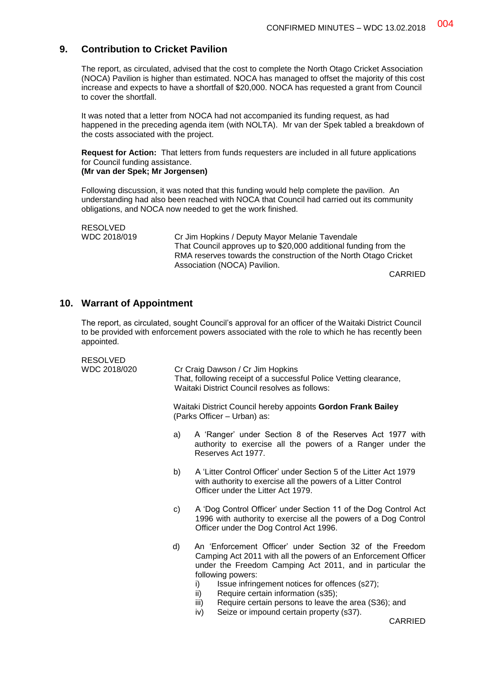## **9. Contribution to Cricket Pavilion**

The report, as circulated, advised that the cost to complete the North Otago Cricket Association (NOCA) Pavilion is higher than estimated. NOCA has managed to offset the majority of this cost increase and expects to have a shortfall of \$20,000. NOCA has requested a grant from Council to cover the shortfall.

It was noted that a letter from NOCA had not accompanied its funding request, as had happened in the preceding agenda item (with NOLTA). Mr van der Spek tabled a breakdown of the costs associated with the project.

**Request for Action:** That letters from funds requesters are included in all future applications for Council funding assistance.

#### **(Mr van der Spek; Mr Jorgensen)**

Following discussion, it was noted that this funding would help complete the pavilion. An understanding had also been reached with NOCA that Council had carried out its community obligations, and NOCA now needed to get the work finished.

```
RESOLVED
```
WDC 2018/019 Cr Jim Hopkins / Deputy Mayor Melanie Tavendale That Council approves up to \$20,000 additional funding from the RMA reserves towards the construction of the North Otago Cricket Association (NOCA) Pavilion.

CARRIED

## **10. Warrant of Appointment**

The report, as circulated, sought Council's approval for an officer of the Waitaki District Council to be provided with enforcement powers associated with the role to which he has recently been appointed.

| RESOLVED<br>WDC 2018/020 |    | Cr Craig Dawson / Cr Jim Hopkins<br>That, following receipt of a successful Police Vetting clearance,<br>Waitaki District Council resolves as follows:                                                                                                                                                                                                                                                                                                 |  |
|--------------------------|----|--------------------------------------------------------------------------------------------------------------------------------------------------------------------------------------------------------------------------------------------------------------------------------------------------------------------------------------------------------------------------------------------------------------------------------------------------------|--|
|                          |    | Waitaki District Council hereby appoints Gordon Frank Bailey<br>(Parks Officer - Urban) as:                                                                                                                                                                                                                                                                                                                                                            |  |
|                          | a) | A 'Ranger' under Section 8 of the Reserves Act 1977 with<br>authority to exercise all the powers of a Ranger under the<br>Reserves Act 1977.                                                                                                                                                                                                                                                                                                           |  |
|                          | b) | A 'Litter Control Officer' under Section 5 of the Litter Act 1979<br>with authority to exercise all the powers of a Litter Control<br>Officer under the Litter Act 1979.                                                                                                                                                                                                                                                                               |  |
|                          | C) | A 'Dog Control Officer' under Section 11 of the Dog Control Act<br>1996 with authority to exercise all the powers of a Dog Control<br>Officer under the Dog Control Act 1996.                                                                                                                                                                                                                                                                          |  |
|                          | d) | An 'Enforcement Officer' under Section 32 of the Freedom<br>Camping Act 2011 with all the powers of an Enforcement Officer<br>under the Freedom Camping Act 2011, and in particular the<br>following powers:<br>Issue infringement notices for offences (s27);<br>i)<br>ii)<br>Require certain information (s35);<br>Require certain persons to leave the area (S36); and<br>iii)<br>Seize or impound certain property (s37).<br>iv)<br><b>CARRIED</b> |  |
|                          |    |                                                                                                                                                                                                                                                                                                                                                                                                                                                        |  |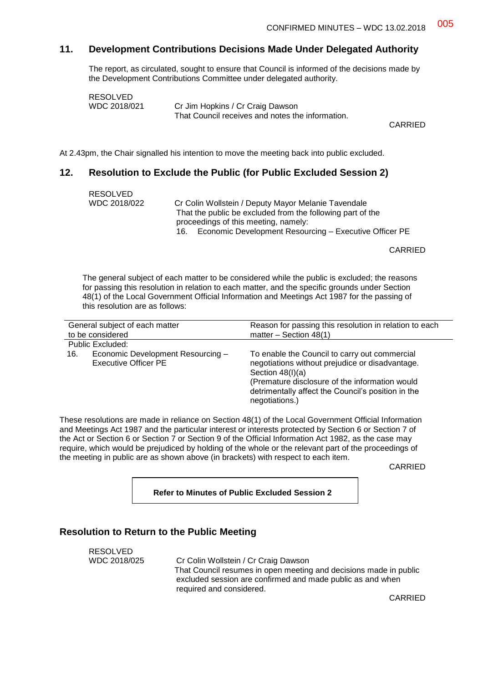## **11. Development Contributions Decisions Made Under Delegated Authority**

The report, as circulated, sought to ensure that Council is informed of the decisions made by the Development Contributions Committee under delegated authority.

| RESOLVED     |                                                  |
|--------------|--------------------------------------------------|
| WDC 2018/021 | Cr Jim Hopkins / Cr Craig Dawson                 |
|              | That Council receives and notes the information. |

CARRIED

At 2.43pm, the Chair signalled his intention to move the meeting back into public excluded.

#### **12. Resolution to Exclude the Public (for Public Excluded Session 2)**

| RESOLVED<br>WDC 2018/022 | Cr Colin Wollstein / Deputy Mayor Melanie Tavendale                                                |
|--------------------------|----------------------------------------------------------------------------------------------------|
|                          | That the public be excluded from the following part of the<br>proceedings of this meeting, namely: |
|                          | Economic Development Resourcing – Executive Officer PE<br>16.                                      |

CARRIED

The general subject of each matter to be considered while the public is excluded; the reasons for passing this resolution in relation to each matter, and the specific grounds under Section 48(1) of the Local Government Official Information and Meetings Act 1987 for the passing of this resolution are as follows:

| General subject of each matter                                   | Reason for passing this resolution in relation to each                                                                                                                                                                                           |
|------------------------------------------------------------------|--------------------------------------------------------------------------------------------------------------------------------------------------------------------------------------------------------------------------------------------------|
| to be considered                                                 | matter – Section $48(1)$                                                                                                                                                                                                                         |
| Public Excluded:                                                 |                                                                                                                                                                                                                                                  |
| Economic Development Resourcing -<br>16.<br>Executive Officer PE | To enable the Council to carry out commercial<br>negotiations without prejudice or disadvantage.<br>Section $48(l)(a)$<br>(Premature disclosure of the information would<br>detrimentally affect the Council's position in the<br>negotiations.) |

These resolutions are made in reliance on Section 48(1) of the Local Government Official Information and Meetings Act 1987 and the particular interest or interests protected by Section 6 or Section 7 of the Act or Section 6 or Section 7 or Section 9 of the Official Information Act 1982, as the case may require, which would be prejudiced by holding of the whole or the relevant part of the proceedings of the meeting in public are as shown above (in brackets) with respect to each item.

CARRIED

**Refer to Minutes of Public Excluded Session 2**

### **Resolution to Return to the Public Meeting**

RESOLVED WDC 2018/025 Cr Colin Wollstein / Cr Craig Dawson That Council resumes in open meeting and decisions made in public excluded session are confirmed and made public as and when required and considered.

CARRIED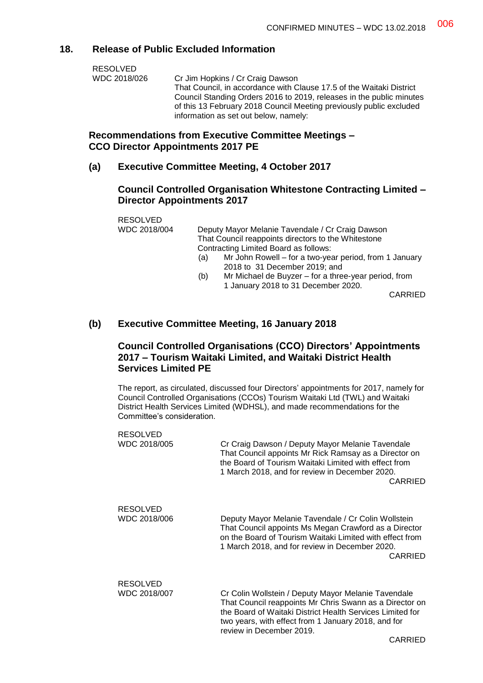## **18. Release of Public Excluded Information**

| WDC 2018/026<br>Cr Jim Hopkins / Cr Craig Dawson                     |  |
|----------------------------------------------------------------------|--|
| That Council, in accordance with Clause 17.5 of the Waitaki District |  |
| Council Standing Orders 2016 to 2019, releases in the public minutes |  |
| of this 13 February 2018 Council Meeting previously public excluded  |  |
| information as set out below, namely:                                |  |

#### **Recommendations from Executive Committee Meetings – CCO Director Appointments 2017 PE**

#### **(a) Executive Committee Meeting, 4 October 2017**

## **Council Controlled Organisation Whitestone Contracting Limited – Director Appointments 2017**

| <b>RESOLVED</b> |     |                                                        |
|-----------------|-----|--------------------------------------------------------|
| WDC 2018/004    |     | Deputy Mayor Melanie Tavendale / Cr Craig Dawson       |
|                 |     | That Council reappoints directors to the Whitestone    |
|                 |     | Contracting Limited Board as follows:                  |
|                 | (a) | Mr John Rowell – for a two-year period, from 1 January |
|                 |     | 2018 to 31 December 2019; and                          |
|                 | (b) | Mr Michael de Buyzer – for a three-year period, from   |
|                 |     | 1 January 2018 to 31 December 2020.                    |

CARRIED

## **(b) Executive Committee Meeting, 16 January 2018**

## **Council Controlled Organisations (CCO) Directors' Appointments 2017 – Tourism Waitaki Limited, and Waitaki District Health Services Limited PE**

The report, as circulated, discussed four Directors' appointments for 2017, namely for Council Controlled Organisations (CCOs) Tourism Waitaki Ltd (TWL) and Waitaki District Health Services Limited (WDHSL), and made recommendations for the Committee's consideration.

| <b>RESOLVED</b><br>WDC 2018/005 | Cr Craig Dawson / Deputy Mayor Melanie Tavendale<br>That Council appoints Mr Rick Ramsay as a Director on<br>the Board of Tourism Waitaki Limited with effect from<br>1 March 2018, and for review in December 2020.<br>CARRIED                                           |
|---------------------------------|---------------------------------------------------------------------------------------------------------------------------------------------------------------------------------------------------------------------------------------------------------------------------|
| <b>RESOLVED</b><br>WDC 2018/006 | Deputy Mayor Melanie Tavendale / Cr Colin Wollstein<br>That Council appoints Ms Megan Crawford as a Director<br>on the Board of Tourism Waitaki Limited with effect from<br>1 March 2018, and for review in December 2020.<br><b>CARRIED</b>                              |
| <b>RESOLVED</b><br>WDC 2018/007 | Cr Colin Wollstein / Deputy Mayor Melanie Tavendale<br>That Council reappoints Mr Chris Swann as a Director on<br>the Board of Waitaki District Health Services Limited for<br>two years, with effect from 1 January 2018, and for<br>review in December 2019.<br>CARRIED |